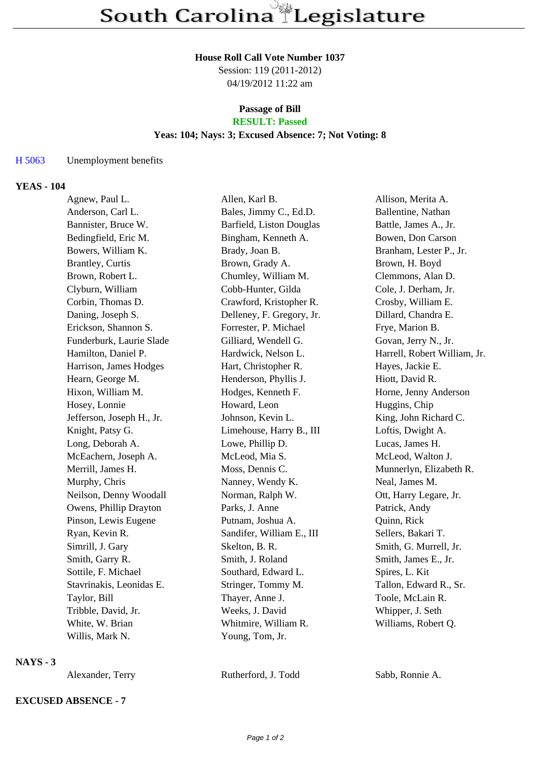#### **House Roll Call Vote Number 1037**

Session: 119 (2011-2012) 04/19/2012 11:22 am

# **Passage of Bill**

# **RESULT: Passed**

### **Yeas: 104; Nays: 3; Excused Absence: 7; Not Voting: 8**

## H 5063 Unemployment benefits

#### **YEAS - 104**

| Agnew, Paul L.            | Allen, Karl B.            | Allison, Merita A.           |
|---------------------------|---------------------------|------------------------------|
| Anderson, Carl L.         | Bales, Jimmy C., Ed.D.    | Ballentine, Nathan           |
| Bannister, Bruce W.       | Barfield, Liston Douglas  | Battle, James A., Jr.        |
| Bedingfield, Eric M.      | Bingham, Kenneth A.       | Bowen, Don Carson            |
| Bowers, William K.        | Brady, Joan B.            | Branham, Lester P., Jr.      |
| <b>Brantley, Curtis</b>   | Brown, Grady A.           | Brown, H. Boyd               |
| Brown, Robert L.          | Chumley, William M.       | Clemmons, Alan D.            |
| Clyburn, William          | Cobb-Hunter, Gilda        | Cole, J. Derham, Jr.         |
| Corbin, Thomas D.         | Crawford, Kristopher R.   | Crosby, William E.           |
| Daning, Joseph S.         | Delleney, F. Gregory, Jr. | Dillard, Chandra E.          |
| Erickson, Shannon S.      | Forrester, P. Michael     | Frye, Marion B.              |
| Funderburk, Laurie Slade  | Gilliard, Wendell G.      | Govan, Jerry N., Jr.         |
| Hamilton, Daniel P.       | Hardwick, Nelson L.       | Harrell, Robert William, Jr. |
| Harrison, James Hodges    | Hart, Christopher R.      | Hayes, Jackie E.             |
| Hearn, George M.          | Henderson, Phyllis J.     | Hiott, David R.              |
| Hixon, William M.         | Hodges, Kenneth F.        | Horne, Jenny Anderson        |
| Hosey, Lonnie             | Howard, Leon              | Huggins, Chip                |
| Jefferson, Joseph H., Jr. | Johnson, Kevin L.         | King, John Richard C.        |
| Knight, Patsy G.          | Limehouse, Harry B., III  | Loftis, Dwight A.            |
| Long, Deborah A.          | Lowe, Phillip D.          | Lucas, James H.              |
| McEachern, Joseph A.      | McLeod, Mia S.            | McLeod, Walton J.            |
| Merrill, James H.         | Moss, Dennis C.           | Munnerlyn, Elizabeth R.      |
| Murphy, Chris             | Nanney, Wendy K.          | Neal, James M.               |
| Neilson, Denny Woodall    | Norman, Ralph W.          | Ott, Harry Legare, Jr.       |
| Owens, Phillip Drayton    | Parks, J. Anne            | Patrick, Andy                |
| Pinson, Lewis Eugene      | Putnam, Joshua A.         | Quinn, Rick                  |
| Ryan, Kevin R.            | Sandifer, William E., III | Sellers, Bakari T.           |
| Simrill, J. Gary          | Skelton, B. R.            | Smith, G. Murrell, Jr.       |
| Smith, Garry R.           | Smith, J. Roland          | Smith, James E., Jr.         |
| Sottile, F. Michael       | Southard, Edward L.       | Spires, L. Kit               |
| Stavrinakis, Leonidas E.  | Stringer, Tommy M.        | Tallon, Edward R., Sr.       |
| Taylor, Bill              | Thayer, Anne J.           | Toole, McLain R.             |
| Tribble, David, Jr.       | Weeks, J. David           | Whipper, J. Seth             |
| White, W. Brian           | Whitmire, William R.      | Williams, Robert Q.          |
| Willis, Mark N.           | Young, Tom, Jr.           |                              |

### **NAYS - 3**

**EXCUSED ABSENCE - 7**

Alexander, Terry Rutherford, J. Todd Sabb, Ronnie A.